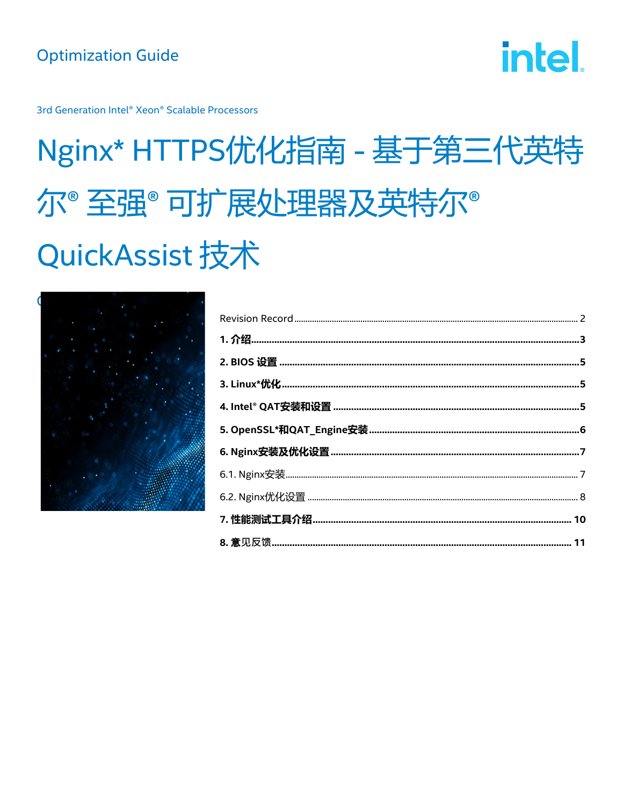**intel** 

3rd Generation Intel® Xeon® Scalable Processors

# Nginx\* HTTPS优化指南 - 基于第三代英特 尔<sup>。</sup>至强<sup>。</sup>可扩展处理器及英特尔<sup>。</sup> **QuickAssist 技术**

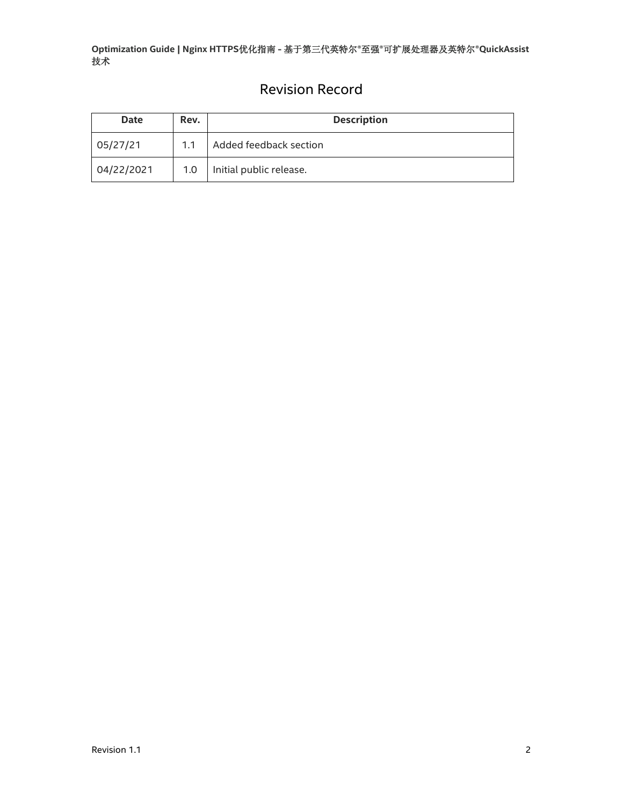## Revision Record

<span id="page-1-0"></span>

| <b>Date</b> | Rev. | <b>Description</b>      |  |
|-------------|------|-------------------------|--|
| 05/27/21    | 1.1  | Added feedback section  |  |
| 04/22/2021  | 1.0  | Initial public release. |  |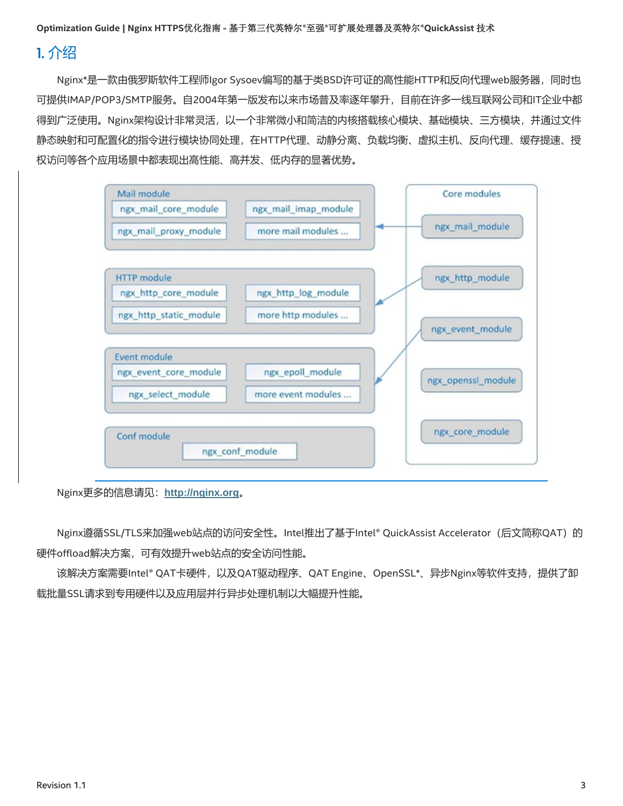#### <span id="page-2-0"></span>1. 介绍

Nginx\*是一款由俄罗斯软件工程师Igor Sysoev编写的基于类BSD许可证的高性能HTTP和反向代理web服务器,同时也 可提供IMAP/POP3/SMTP服务。自2004年第一版发布以来市场普及率逐年攀升,目前在许多一线互联网公司和IT企业中都 得到广泛使用。Nginx架构设计非常灵活,以一个非常微小和简洁的内核搭载核心模块、基础模块、三方模块,并通过文件 静态映射和可配置化的指令进行模块协同处理,在HTTP代理、动静分离、负载均衡、虚拟主机、反向代理、缓存提速、授 权访问等各个应用场景中都表现出高性能、高并发、低内存的显著优势。



Nginx更多的信息请见:**[http://nginx.org](http://nginx.org/)**。

Nginx遵循SSL/TLS来加强web站点的访问安全性。Intel推出了基于Intel® QuickAssist Accelerator (后文简称QAT) 的 硬件offload解决方案,可有效提升web站点的安全访问性能。

该解决方案需要Intel® QAT卡硬件,以及QAT驱动程序、QAT Engine、OpenSSL\*、异步Nginx等软件支持,提供了卸 载批量SSL请求到专用硬件以及应用层并行异步处理机制以大幅提升性能。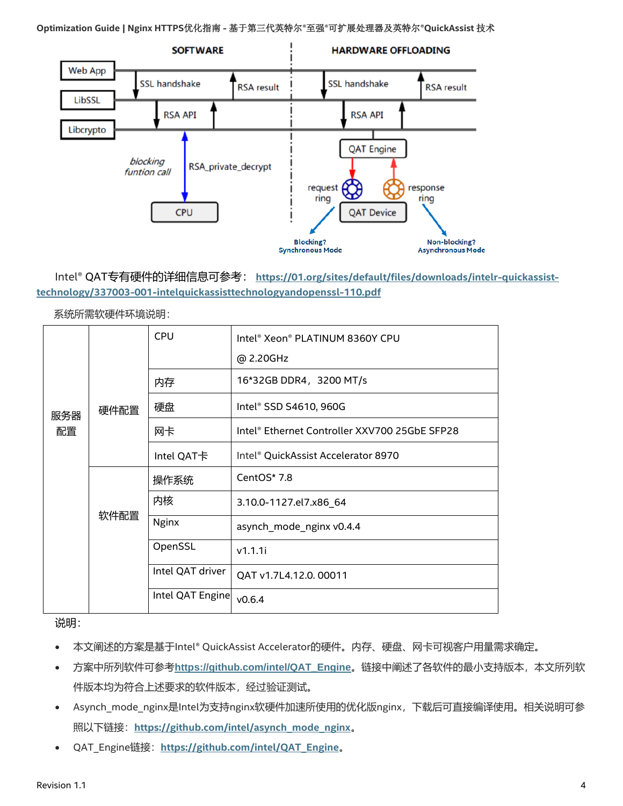

Intel® QAT专有硬件的详细信息可参考: **[https://01.org/sites/default/files/downloads/intelr-quickassist](https://01.org/sites/default/files/downloads/intelr-quickassist-technology/337003-001-intelquickassisttechnologyandopenssl-110.pdf)[technology/337003-001-intelquickassisttechnologyandopenssl-110.pdf](https://01.org/sites/default/files/downloads/intelr-quickassist-technology/337003-001-intelquickassisttechnologyandopenssl-110.pdf)**

|           |      | <b>CPU</b>       | Intel® Xeon® PLATINUM 8360Y CPU               |
|-----------|------|------------------|-----------------------------------------------|
|           | 硬件配置 |                  | @ 2.20GHz                                     |
| 服务器<br>配置 |      | 内存               | 16*32GB DDR4, 3200 MT/s                       |
|           |      | 硬盘               | Intel® SSD S4610, 960G                        |
|           |      | 网卡               | Intel® Ethernet Controller XXV700 25GbE SFP28 |
|           |      | Intel QAT卡       | Intel® QuickAssist Accelerator 8970           |
|           | 软件配置 | 操作系统             | CentOS* 7.8                                   |
|           |      | 内核               | 3.10.0-1127.el7.x86 64                        |
|           |      | <b>Nginx</b>     | asynch_mode_nginx v0.4.4                      |
|           |      | OpenSSL          | v1.1.1i                                       |
|           |      | Intel QAT driver | QAT v1.7L4.12.0.00011                         |
|           |      | Intel QAT Engine | V0.6.4                                        |

系统所需软硬件环境说明:

说明:

- 本文阐述的方案是基于Intel® QuickAssist Accelerator的硬件。内存、硬盘、网卡可视客户用量需求确定。
- 方案中所列软件可参考**[https://github.com/intel/QAT\\_Engine](https://github.com/intel/QAT_Engine)**。链接中阐述了各软件的最小支持版本,本文所列软 件版本均为符合上述要求的软件版本,经过验证测试。
- Asynch\_mode\_nginx是Intel为支持nginx软硬件加速所使用的优化版nginx,下载后可直接编译使用。相关说明可参 照以下链接:**[https://github.com/intel/asynch\\_mode\\_nginx](https://github.com/intel/asynch_mode_nginx)**。
- QAT\_Engine链接:**[https://github.com/intel/QAT\\_Engine](https://github.com/intel/QAT_Engine)**。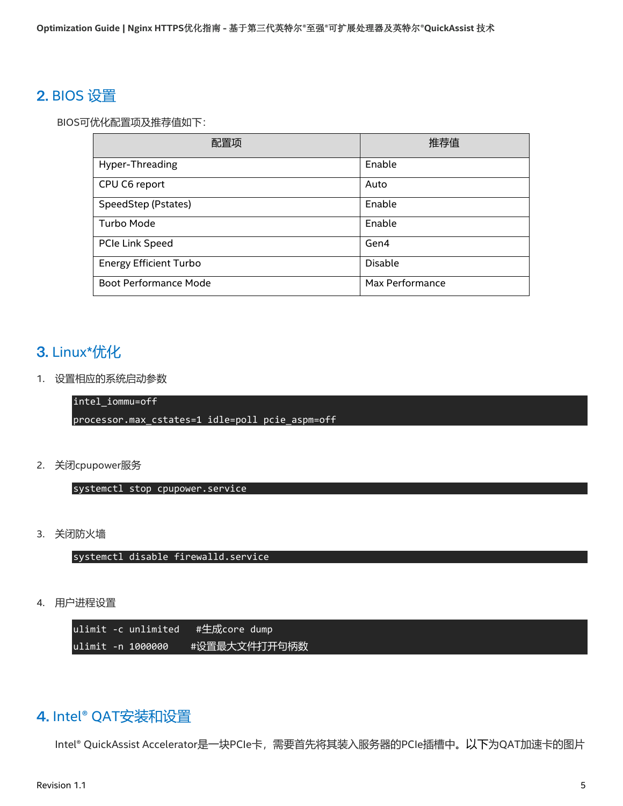## <span id="page-4-0"></span>BIOS 设置

BIOS可优化配置项及推荐值如下:

| 配置项                           | 推荐值             |
|-------------------------------|-----------------|
| Hyper-Threading               | Enable          |
| CPU C6 report                 | Auto            |
| SpeedStep (Pstates)           | Enable          |
| Turbo Mode                    | Enable          |
| PCIe Link Speed               | Gen4            |
| <b>Energy Efficient Turbo</b> | <b>Disable</b>  |
| <b>Boot Performance Mode</b>  | Max Performance |

## <span id="page-4-1"></span>3. Linux\*优化

1. 设置相应的系统启动参数

intel\_iommu=off

processor.max\_cstates=1 idle=poll pcie\_aspm=off

2. 关闭cpupower服务

systemctl stop cpupower.service

3. 关闭防火墙

systemctl disable firewalld.service

4. 用户进程设置

ulimit -c unlimited #生成core dump ulimit -n 1000000 #设置最大文件打开句柄数

## <span id="page-4-2"></span>4. Intel® QAT安装和设置

Intel® QuickAssist Accelerator是一块PCIe卡,需要首先将其装入服务器的PCIe插槽中。以下为QAT加速卡的图片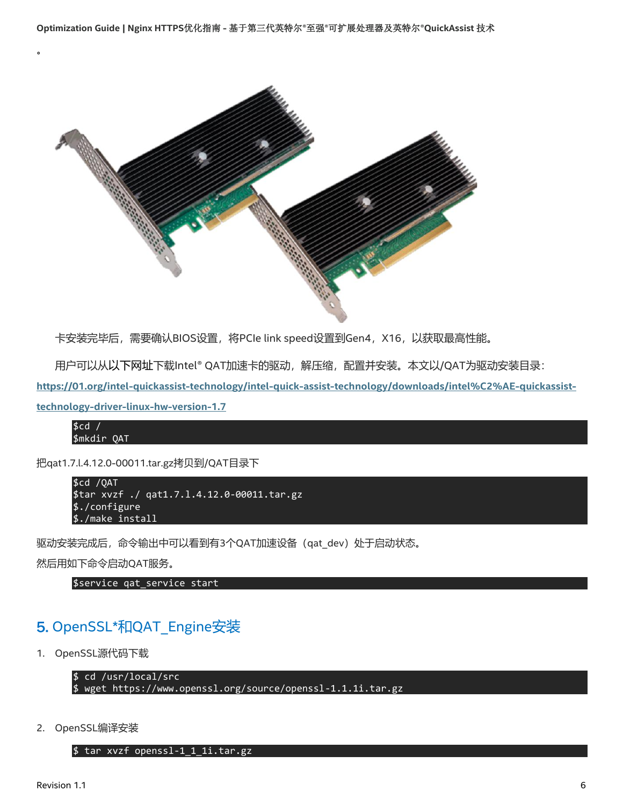

卡安装完毕后,需要确认BIOS设置,将PCIe link speed设置到Gen4, X16, 以获取最高性能。

用户可以从以下网址下载Intel® QAT加速卡的驱动,解压缩,配置并安装。本文以/QAT为驱动安装目录:

**[https://01.org/intel-quickassist-technology/intel-quick-assist-technology/downloads/intel%C2%AE-quickassist-](https://01.org/intel-quickassist-technology/intel-quick-assist-technology/downloads/intel%C2%AE-quickassist-technology-driver-linux-hw-version-1.7)**

**[technology-driver-linux-hw-version-1.7](https://01.org/intel-quickassist-technology/intel-quick-assist-technology/downloads/intel%C2%AE-quickassist-technology-driver-linux-hw-version-1.7)**

。

\$cd / \$mkdir QAT

把qat1.7.l.4.12.0-00011.tar.gz拷贝到/QAT目录下

```
$cd /QAT
$tar xvzf ./ qat1.7.l.4.12.0-00011.tar.gz
$./configure
$./make install
```
驱动安装完成后,命令输出中可以看到有3个QAT加速设备(qat\_dev)处于启动状态。

然后用如下命令启动QAT服务。

\$service qat\_service start

## <span id="page-5-0"></span>5. OpenSSL\*和QAT\_Engine安装

1. OpenSSL源代码下载

```
$ cd /usr/local/src
```
\$ wget<https://www.openssl.org/source/openssl-1.1.1i.tar.gz>

2. OpenSSL编译安装

\$ tar xvzf openssl-1\_1\_1i.tar.gz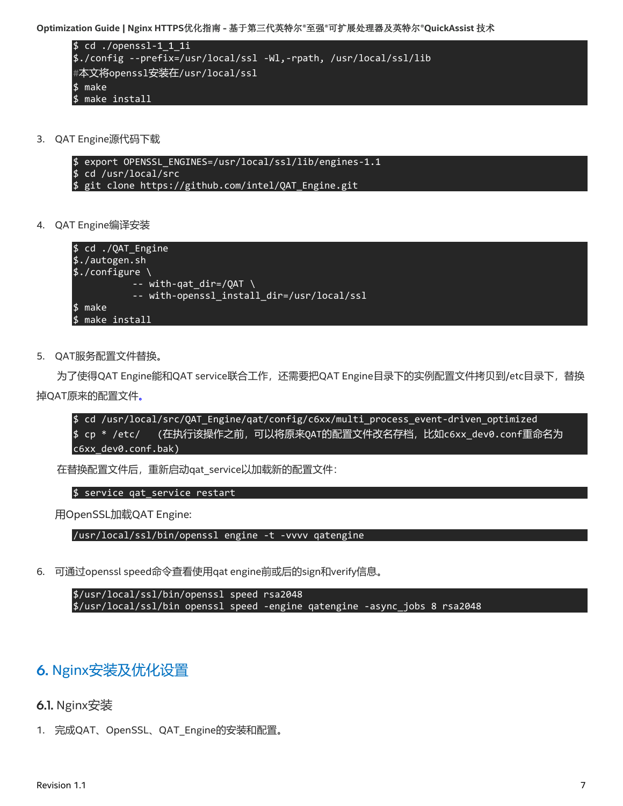```
$ cd ./openssl-1_1_1i
$./config --prefix=/usr/local/ssl -Wl,-rpath, /usr/local/ssl/lib
#本文将openssl安装在/usr/local/ssl
$ make
$ make install
```
3. QAT Engine源代码下载

\$ export OPENSSL\_ENGINES=/usr/local/ssl/lib/engines-1.1 \$ cd /usr/local/src \$ git clone https://github.com/intel/QAT\_Engine.git

4. QAT Engine编译安装



5. QAT服务配置文件替换。

为了使得QAT Engine能和QAT service联合工作, 还需要把QAT Engine目录下的实例配置文件拷贝到/etc目录下, 替换 掉QAT原来的配置文件。

\$ cd /usr/local/src/QAT\_Engine/qat/config/c6xx/multi\_process\_event-driven\_optimized \$ cp \* /etc/ (在执行该操作之前,可以将原来QAT的配置文件改名存档,比如c6xx\_dev0.conf重命名为 c6xx\_dev0.conf.bak)

在替换配置文件后,重新启动qat\_service以加载新的配置文件:

\$ service qat service restart

用OpenSSL加载QAT Engine:

/usr/local/ssl/bin/openssl engine -t -vvvv qatengine

6. 可通过openssl speed命令查看使用qat engine前或后的sign和verify信息。

\$/usr/local/ssl/bin/openssl speed rsa2048 \$/usr/local/ssl/bin openssl speed -engine qatengine -async\_jobs 8 rsa2048

#### <span id="page-6-0"></span>6. Nginx安装及优化设置

#### <span id="page-6-1"></span>6.1. Nginx安装

1. 完成QAT、OpenSSL、QAT Engine的安装和配置。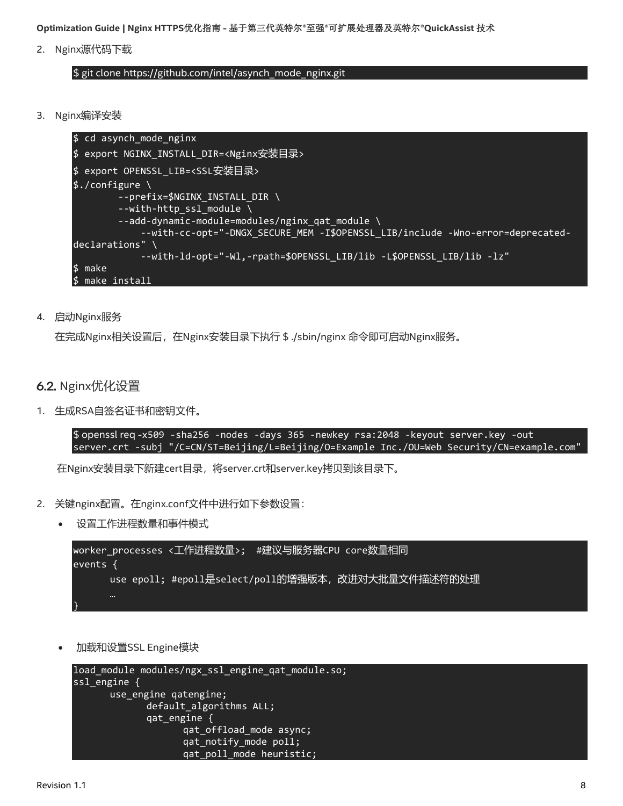2. Nginx源代码下载

#### \$ git clone [https://github.com/intel/asynch\\_mode\\_nginx.git](https://github.com/intel/asynch_mode_nginx.git)

3. Nginx编译安装

```
$ cd asynch_mode_nginx
$ export NGINX_INSTALL_DIR=<Nginx安装目录>
$ export OPENSSL_LIB=<SSL安装目录>
$./configure \
         --prefix=$NGINX_INSTALL_DIR \
        --with-http ssl module \setminus --add-dynamic-module=modules/nginx_qat_module \
            --with-cc-opt="-DNGX SECURE MEM -I$OPENSSL_LIB/include -Wno-error=deprecated-
declarations" \
             --with-ld-opt="-Wl,-rpath=$OPENSSL_LIB/lib -L$OPENSSL_LIB/lib -lz"
$ make
$ make install
```
4. 启动Nginx服务

在完成Nginx相关设置后,在Nginx安装目录下执行 \$ ./sbin/nginx 命令即可启动Nginx服务。

- <span id="page-7-0"></span>6.2. Nginx优化设置
- 1. 生成RSA自签名证书和密钥文件。

\$ openssl req -x509 -sha256 -nodes -days 365 -newkey rsa:2048 -keyout server.key -out server.crt -subj "/C=CN/ST=Beijing/L=Beijing/O=Example Inc./OU=Web Security/CN=example.com"

在Nginx安装目录下新建cert目录,将server.crt和server.key拷贝到该目录下。

- 2. 关键nginx配置。在nginx.conf文件中进行如下参数设置:
	- 设置工作进程数量和事件模式

```
worker_processes <工作进程数量>; #建议与服务器CPU core数量相同
events {
     use epoll; #epoll是select/poll的增强版本, 改进对大批量文件描述符的处理
}
```
• 加载和设置SSL Engine模块

```
load_module modules/ngx_ssl_engine_qat_module.so;
ssl_engine {
      use_engine qatengine;
             default algorithms ALL;
             qat_engine {
                    qat_offload_mode async;
                    qat notify mode poll;
                    qat poll mode heuristic;
```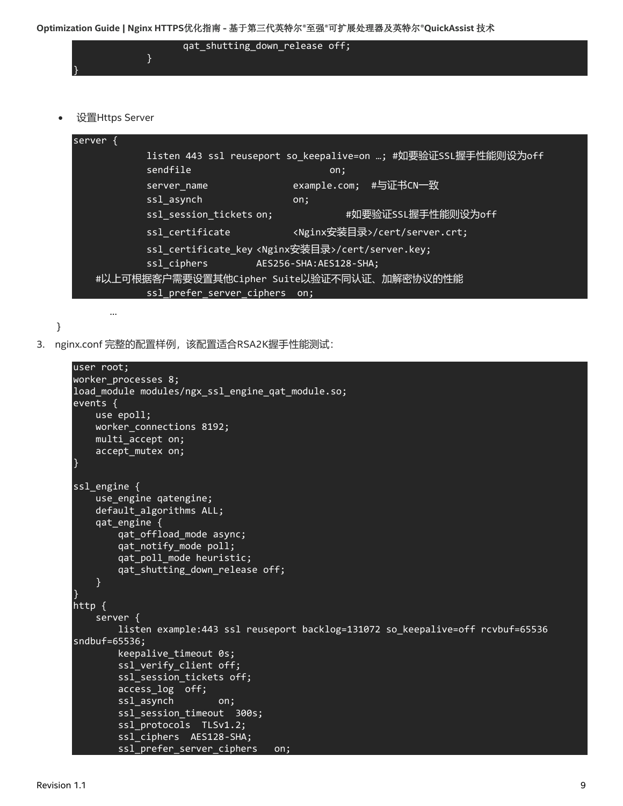

• 设置Https Server

…

```
server {
          listen 443 ssl reuseport so_keepalive=on …; #如要验证SSL握手性能则设为off
          sendfile on: 00:
          server_name example.com; #与证书CN一致
          ssl asynch on;
          ssl_session_tickets on; #如要验证SSL握手性能则设为off
          ssl_certificate                           <Nginx安装目录>/cert/server.crt;
          ssl certificate key <Nginx安装目录>/cert/server.key;
          ssl ciphers AES256-SHA:AES128-SHA;
    #以上可根据客户需要设置其他Cipher Suite以验证不同认证、加解密协议的性能
          ssl prefer server ciphers on;
```

```
}
```
3. nginx.conf 完整的配置样例,该配置适合RSA2K握手性能测试:

```
user root;
worker_processes 8;
load module modules/ngx_ssl_engine_qat_module.so;
events {
     use epoll;
     worker_connections 8192;
     multi_accept on;
     accept_mutex on;
}
ssl_engine {
    use engine qatengine;
     default_algorithms ALL;
     qat_engine {
        qat offload mode async;
         qat_notify_mode poll;
        qat poll mode heuristic;
         qat_shutting_down_release off;
     }
}
http \overline{\left(} server {
         listen example:443 ssl reuseport backlog=131072 so_keepalive=off rcvbuf=65536 
sndbuf=65536;
        keepalive timeout 0s;
         ssl_verify_client off;
         ssl_session_tickets off;
         access_log off;
        ssl asynch on;
         ssl_session_timeout 300s;
        ssl protocols TLSv1.2;
         ssl_ciphers AES128-SHA;
        ssl prefer server ciphers on;
```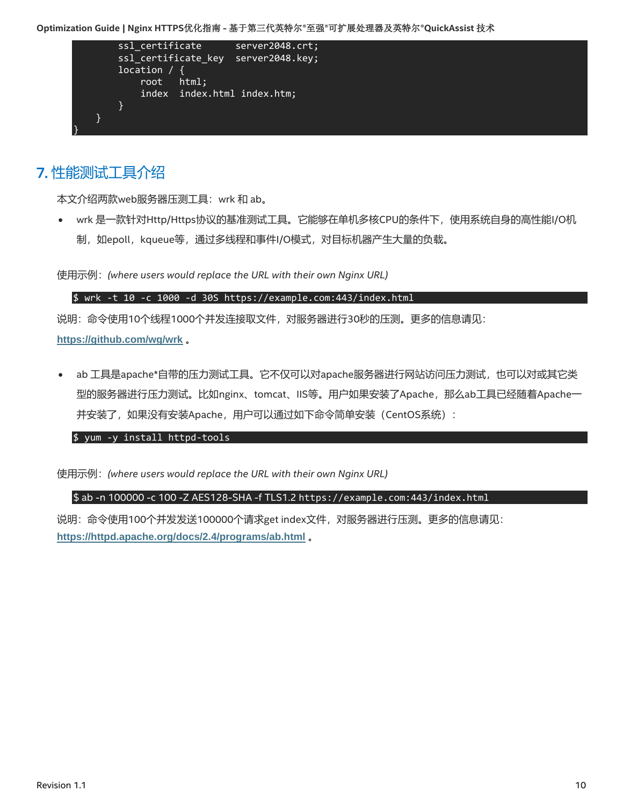

# <span id="page-9-0"></span>性能测试工具介绍

本文介绍两款web服务器压测工具:wrk 和 ab。

• wrk 是一款针对Http/Https协议的基准测试工具。它能够在单机多核CPU的条件下,使用系统自身的高性能I/O机 制,如epoll, kqueue等, 通过多线程和事件I/O模式, 对目标机器产生大量的负载。

使用示例:*(where users would replace the URL with their own Nginx URL)*

#### \$ wrk -t 10 -c 1000 -d 30S https://example.com:443/index.html

说明:命令使用10个线程1000个并发连接取文件,对服务器进行30秒的压测。更多的信息请见: **<https://github.com/wg/wrk>** 。

ab 工具是apache\*自带的压力测试工具。它不仅可以对apache服务器进行网站访问压力测试, 也可以对或其它类 型的服务器进行压力测试。比如nginx、tomcat、IIS等。用户如果安装了Apache,那么ab工具已经随着Apache一 并安装了,如果没有安装Apache,用户可以通过如下命令简单安装(CentOS系统):

\$ yum -y install httpd-tools

使用示例:*(where users would replace the URL with their own Nginx URL)*

\$ ab -n 100000 -c 100 -Z AES128-SHA -f TLS1.2 [https://example.com:443/index.html](https://example.com/index.html)

说明:命令使用100个并发发送100000个请求get index文件,对服务器进行压测。更多的信息请见: **<https://httpd.apache.org/docs/2.4/programs/ab.html>** 。